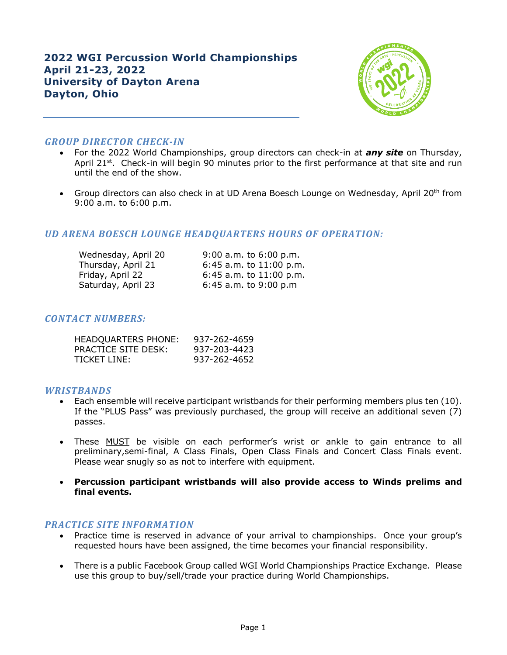# **2022 WGI Percussion World Championships April 21-23, 2022 University of Dayton Arena Dayton, Ohio**



# *GROUP DIRECTOR CHECK-IN*

- For the 2022 World Championships, group directors can check-in at *any site* on Thursday, April 21<sup>st</sup>. Check-in will begin 90 minutes prior to the first performance at that site and run until the end of the show.
- Group directors can also check in at UD Arena Boesch Lounge on Wednesday, April 20<sup>th</sup> from 9:00 a.m. to 6:00 p.m.

# *UD ARENA BOESCH LOUNGE HEADQUARTERS HOURS OF OPERATION:*

| Wednesday, April 20 | $9:00$ a.m. to $6:00$ p.m.  |
|---------------------|-----------------------------|
| Thursday, April 21  | 6:45 a.m. to $11:00$ p.m.   |
| Friday, April 22    | $6:45$ a.m. to $11:00$ p.m. |
| Saturday, April 23  | $6:45$ a.m. to $9:00$ p.m   |

# *CONTACT NUMBERS:*

| HEADQUARTERS PHONE: | 937-262-4659 |
|---------------------|--------------|
| PRACTICE SITE DESK: | 937-203-4423 |
| TICKET LINE:        | 937-262-4652 |

## *WRISTBANDS*

- Each ensemble will receive participant wristbands for their performing members plus ten (10). If the "PLUS Pass" was previously purchased, the group will receive an additional seven (7) passes.
- These MUST be visible on each performer's wrist or ankle to gain entrance to all preliminary,semi-final, A Class Finals, Open Class Finals and Concert Class Finals event. Please wear snugly so as not to interfere with equipment.
- **Percussion participant wristbands will also provide access to Winds prelims and final events.**

## **PRACTICE SITE INFORMATION**

- Practice time is reserved in advance of your arrival to championships. Once your group's requested hours have been assigned, the time becomes your financial responsibility.
- There is a public Facebook Group called WGI World Championships Practice Exchange. Please use this group to buy/sell/trade your practice during World Championships.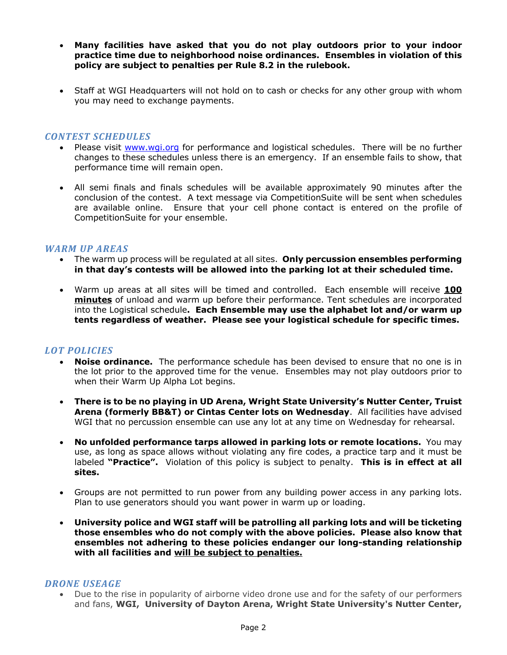- **Many facilities have asked that you do not play outdoors prior to your indoor practice time due to neighborhood noise ordinances. Ensembles in violation of this policy are subject to penalties per Rule 8.2 in the rulebook.**
- Staff at WGI Headquarters will not hold on to cash or checks for any other group with whom you may need to exchange payments.

#### *CONTEST SCHEDULES*

- Please visit www.wgi.org for performance and logistical schedules. There will be no further changes to these schedules unless there is an emergency. If an ensemble fails to show, that performance time will remain open.
- All semi finals and finals schedules will be available approximately 90 minutes after the conclusion of the contest. A text message via CompetitionSuite will be sent when schedules are available online. Ensure that your cell phone contact is entered on the profile of CompetitionSuite for your ensemble.

## **WARM UP AREAS**

- The warm up process will be regulated at all sites. **Only percussion ensembles performing in that day's contests will be allowed into the parking lot at their scheduled time.**
- Warm up areas at all sites will be timed and controlled. Each ensemble will receive **100 minutes** of unload and warm up before their performance. Tent schedules are incorporated into the Logistical schedule**. Each Ensemble may use the alphabet lot and/or warm up tents regardless of weather. Please see your logistical schedule for specific times.**

## *LOT POLICIES*

- **Noise ordinance.** The performance schedule has been devised to ensure that no one is in the lot prior to the approved time for the venue. Ensembles may not play outdoors prior to when their Warm Up Alpha Lot begins.
- **There is to be no playing in UD Arena, Wright State University's Nutter Center, Truist Arena (formerly BB&T) or Cintas Center lots on Wednesday**. All facilities have advised WGI that no percussion ensemble can use any lot at any time on Wednesday for rehearsal.
- **No unfolded performance tarps allowed in parking lots or remote locations.** You may use, as long as space allows without violating any fire codes, a practice tarp and it must be labeled **"Practice".** Violation of this policy is subject to penalty. **This is in effect at all sites.**
- Groups are not permitted to run power from any building power access in any parking lots. Plan to use generators should you want power in warm up or loading.
- **University police and WGI staff will be patrolling all parking lots and will be ticketing those ensembles who do not comply with the above policies. Please also know that ensembles not adhering to these policies endanger our long-standing relationship with all facilities and will be subject to penalties.**

#### *DRONE USEAGE*

• Due to the rise in popularity of airborne video drone use and for the safety of our performers and fans, **WGI, University of Dayton Arena, Wright State University's Nutter Center,**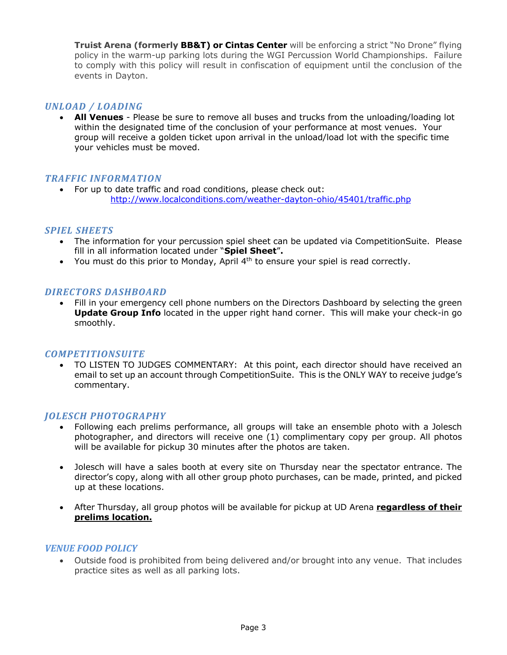**Truist Arena (formerly BB&T) or Cintas Center** will be enforcing a strict "No Drone" flying policy in the warm-up parking lots during the WGI Percussion World Championships. Failure to comply with this policy will result in confiscation of equipment until the conclusion of the events in Dayton.

## *UNLOAD / LOADING*

• **All Venues** - Please be sure to remove all buses and trucks from the unloading/loading lot within the designated time of the conclusion of your performance at most venues. Your group will receive a golden ticket upon arrival in the unload/load lot with the specific time your vehicles must be moved.

## *TRAFFIC INFORMATION*

• For up to date traffic and road conditions, please check out: http://www.localconditions.com/weather-dayton-ohio/45401/traffic.php

## *SPIEL SHEETS*

- The information for your percussion spiel sheet can be updated via CompetitionSuite. Please fill in all information located under "**Spiel Sheet**"**.**
- You must do this prior to Monday, April  $4<sup>th</sup>$  to ensure your spiel is read correctly.

## *DIRECTORS DASHBOARD*

• Fill in your emergency cell phone numbers on the Directors Dashboard by selecting the green **Update Group Info** located in the upper right hand corner.This will make your check-in go smoothly.

## *COMPETITIONSUITE*

• TO LISTEN TO JUDGES COMMENTARY: At this point, each director should have received an email to set up an account through CompetitionSuite. This is the ONLY WAY to receive judge's commentary.

## *JOLESCH PHOTOGRAPHY*

- Following each prelims performance, all groups will take an ensemble photo with a Jolesch photographer, and directors will receive one (1) complimentary copy per group. All photos will be available for pickup 30 minutes after the photos are taken.
- Jolesch will have a sales booth at every site on Thursday near the spectator entrance. The director's copy, along with all other group photo purchases, can be made, printed, and picked up at these locations.
- After Thursday, all group photos will be available for pickup at UD Arena **regardless of their prelims location.**

## *VENUE FOOD POLICY*

• Outside food is prohibited from being delivered and/or brought into any venue. That includes practice sites as well as all parking lots.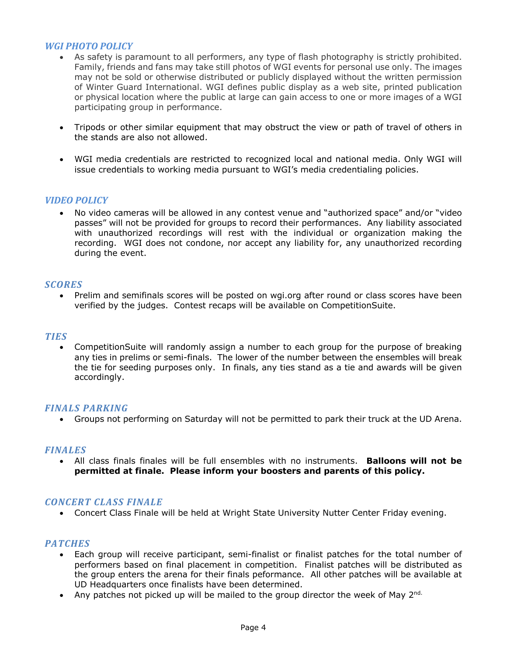# *WGI PHOTO POLICY*

- As safety is paramount to all performers, any type of flash photography is strictly prohibited. Family, friends and fans may take still photos of WGI events for personal use only. The images may not be sold or otherwise distributed or publicly displayed without the written permission of Winter Guard International. WGI defines public display as a web site, printed publication or physical location where the public at large can gain access to one or more images of a WGI participating group in performance.
- Tripods or other similar equipment that may obstruct the view or path of travel of others in the stands are also not allowed.
- WGI media credentials are restricted to recognized local and national media. Only WGI will issue credentials to working media pursuant to WGI's media credentialing policies.

# *VIDEO POLICY*

• No video cameras will be allowed in any contest venue and "authorized space" and/or "video passes" will not be provided for groups to record their performances. Any liability associated with unauthorized recordings will rest with the individual or organization making the recording. WGI does not condone, nor accept any liability for, any unauthorized recording during the event.

#### *SCORES*

• Prelim and semifinals scores will be posted on wgi.org after round or class scores have been verified by the judges. Contest recaps will be available on CompetitionSuite.

#### *TIES*

• CompetitionSuite will randomly assign a number to each group for the purpose of breaking any ties in prelims or semi-finals. The lower of the number between the ensembles will break the tie for seeding purposes only. In finals, any ties stand as a tie and awards will be given accordingly.

#### *FINALS PARKING*

• Groups not performing on Saturday will not be permitted to park their truck at the UD Arena.

## *FINALES*

• All class finals finales will be full ensembles with no instruments. **Balloons will not be permitted at finale. Please inform your boosters and parents of this policy.**

#### *CONCERT CLASS FINALE*

• Concert Class Finale will be held at Wright State University Nutter Center Friday evening.

#### *PATCHES*

- Each group will receive participant, semi-finalist or finalist patches for the total number of performers based on final placement in competition. Finalist patches will be distributed as the group enters the arena for their finals peformance. All other patches will be available at UD Headquarters once finalists have been determined.
- Any patches not picked up will be mailed to the group director the week of May  $2^{nd}$ .